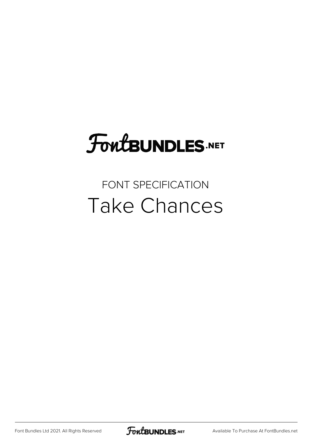# FoutBUNDLES.NET

#### FONT SPECIFICATION Take Chances

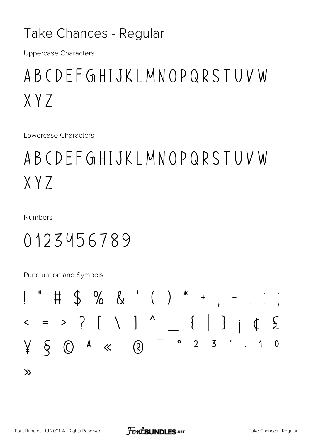#### Take Chances - Regular

**Uppercase Characters** 

## ABCDEFGHIJKLMNOPQRSTUVW  $XYZ$

Lowercase Characters

# ABCDEFGHIJKLMNOPQRSTUVW  $XYZ$

**Numbers** 

### 0123456789

Punctuation and Symbols

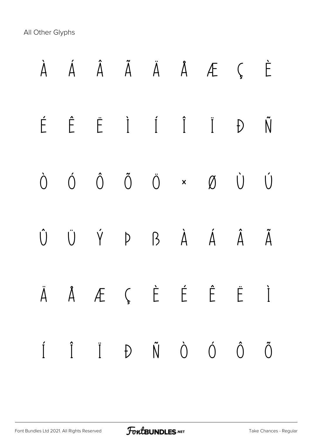All Other Glyphs